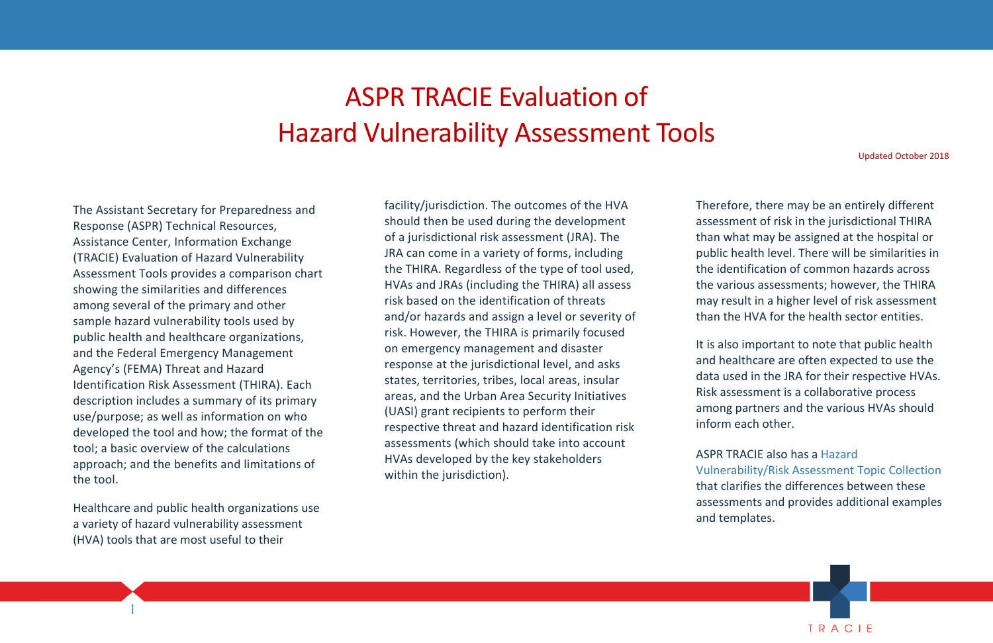

## ASPR TRACIE Evaluation of Hazard Vulnerability Assessment Tools

 approach; and the benefits and limitations of The Assistant Secretary for Preparedness and Response (ASPR) Technical Resources, Assistance Center, Information Exchange (TRACIE) Evaluation of Hazard Vulnerability Assessment Tools provides a comparison chart showing the similarities and differences among several of the primary and other sample hazard vulnerability tools used by public health and healthcare organizations, and the Federal Emergency Management Agency's (FEMA) Threat and Hazard Identification Risk Assessment (THIRA). Each description includes a summary of its primary use/purpose; as well as information on who developed the tool and how; the format of the tool; a basic overview of the calculations the tool.

 Healthcare and public health organizations use a variety of hazard vulnerability assessment (HVA) tools that are most useful to their

 HVAs and JRAs (including the THIRA) all assess states, territories, tribes, local areas, insular respective threat and hazard identification risk facility/jurisdiction. The outcomes of the HVA should then be used during the development of a jurisdictional risk assessment (JRA). The JRA can come in a variety of forms, including the THIRA. Regardless of the type of tool used, risk based on the identification of threats and/or hazards and assign a level or severity of risk. However, the THIRA is primarily focused on emergency management and disaster response at the jurisdictional level, and asks areas, and the Urban Area Security Initiatives (UASI) grant recipients to perform their assessments (which should take into account HVAs developed by the key stakeholders within the jurisdiction).

 Therefore, there may be an entirely different assessment of risk in the jurisdictional THIRA than what may be assigned at the hospital or public health level. There will be similarities in may result in a higher level of risk assessment than the HVA for the health sector entities. the identification of common hazards across the various assessments; however, the THIRA

 and healthcare are often expected to use the Risk assessment is a collaborative process among partners and the various HVAs should It is also important to note that public health data used in the JRA for their respective HVAs. inform each other.

 ASPR TRACIE also has a [Hazard](https://asprtracie.hhs.gov/technical-resources/3/Hazard-Vulnerability-Risk-Assessment/0)  that clarifies the differences between these [Vulnerability/Risk Assessment Topic Collection](https://asprtracie.hhs.gov/technical-resources/3/Hazard-Vulnerability-Risk-Assessment/0)  assessments and provides additional examples and templates.

Updated October 2018

1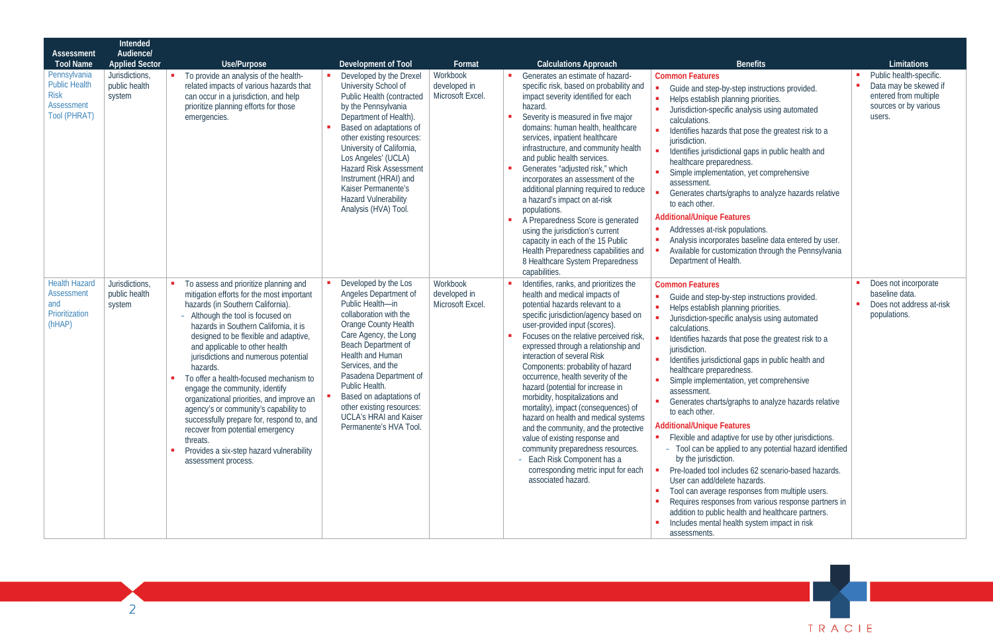

| Assessment                                                                               | Intended<br>Audience/                     |                                                                                                                                                                                                                                                                                                                                                                                                                                                                                                                                                                                                                                                                            |                                                                                                                                                                                                                                                                                                                                                                                    |                                              |                                                                                                                                                                                                                                                                                                                                                                                                                                                                                                                                                                                                                                                                                                                                                       |                                                                                                                                                                                                                                                                                                                                                                                                                                                                                                                                                                                                                                                                                                                                                                                                                                                                                                                                                                                                              |                                                                                                              |
|------------------------------------------------------------------------------------------|-------------------------------------------|----------------------------------------------------------------------------------------------------------------------------------------------------------------------------------------------------------------------------------------------------------------------------------------------------------------------------------------------------------------------------------------------------------------------------------------------------------------------------------------------------------------------------------------------------------------------------------------------------------------------------------------------------------------------------|------------------------------------------------------------------------------------------------------------------------------------------------------------------------------------------------------------------------------------------------------------------------------------------------------------------------------------------------------------------------------------|----------------------------------------------|-------------------------------------------------------------------------------------------------------------------------------------------------------------------------------------------------------------------------------------------------------------------------------------------------------------------------------------------------------------------------------------------------------------------------------------------------------------------------------------------------------------------------------------------------------------------------------------------------------------------------------------------------------------------------------------------------------------------------------------------------------|--------------------------------------------------------------------------------------------------------------------------------------------------------------------------------------------------------------------------------------------------------------------------------------------------------------------------------------------------------------------------------------------------------------------------------------------------------------------------------------------------------------------------------------------------------------------------------------------------------------------------------------------------------------------------------------------------------------------------------------------------------------------------------------------------------------------------------------------------------------------------------------------------------------------------------------------------------------------------------------------------------------|--------------------------------------------------------------------------------------------------------------|
| <b>Tool Name</b>                                                                         | <b>Applied Sector</b>                     | Use/Purpose                                                                                                                                                                                                                                                                                                                                                                                                                                                                                                                                                                                                                                                                | Development of Tool                                                                                                                                                                                                                                                                                                                                                                | Format                                       | <b>Calculations Approach</b>                                                                                                                                                                                                                                                                                                                                                                                                                                                                                                                                                                                                                                                                                                                          | <b>Benefits</b>                                                                                                                                                                                                                                                                                                                                                                                                                                                                                                                                                                                                                                                                                                                                                                                                                                                                                                                                                                                              | Limitations                                                                                                  |
| Pennsylvania<br><b>Public Health</b><br><b>Risk</b><br>Assessment<br><b>Tool (PHRAT)</b> | Jurisdictions,<br>public health<br>system | To provide an analysis of the health-<br>related impacts of various hazards that<br>can occur in a jurisdiction, and help<br>prioritize planning efforts for those<br>emergencies.                                                                                                                                                                                                                                                                                                                                                                                                                                                                                         | Developed by the Drexel<br>University School of<br>Public Health (contracted<br>by the Pennsylvania<br>Department of Health).<br>Based on adaptations of<br>other existing resources:<br>University of California,<br>Los Angeles' (UCLA)<br><b>Hazard Risk Assessment</b><br>Instrument (HRAI) and<br>Kaiser Permanente's<br><b>Hazard Vulnerability</b><br>Analysis (HVA) Tool.  | Workbook<br>developed in<br>Microsoft Excel. | Generates an estimate of hazard-<br>specific risk, based on probability and<br>impact severity identified for each<br>hazard<br>Severity is measured in five major<br>domains: human health, healthcare<br>services, inpatient healthcare<br>infrastructure, and community health<br>and public health services.<br>Generates "adjusted risk," which<br>incorporates an assessment of the<br>additional planning required to reduce<br>a hazard's impact on at-risk<br>populations.<br>A Preparedness Score is generated<br>using the jurisdiction's current<br>capacity in each of the 15 Public<br>Health Preparedness capabilities and<br>8 Healthcare System Preparedness<br>capabilities.                                                        | <b>Common Features</b><br>Guide and step-by-step instructions provided.<br>Helps establish planning priorities.<br>Jurisdiction-specific analysis using automated<br>calculations.<br>Identifies hazards that pose the greatest risk to a<br>jurisdiction.<br>Identifies jurisdictional gaps in public health and<br>healthcare preparedness.<br>Simple implementation, yet comprehensive<br>assessment.<br>Generates charts/graphs to analyze hazards relative<br>to each other.<br><b>Additional/Unique Features</b><br>Addresses at-risk populations.<br>Analysis incorporates baseline data entered by user.<br>Available for customization through the Pennsylvania<br>Department of Health.                                                                                                                                                                                                                                                                                                            | Public health-specific.<br>Data may be skewed if<br>entered from multiple<br>sources or by various<br>users. |
| <b>Health Hazard</b><br>Assessment<br>and<br>Prioritization<br>(hHAP)                    | Jurisdictions,<br>public health<br>system | To assess and prioritize planning and<br>mitigation efforts for the most important<br>hazards (in Southern California)<br>- Although the tool is focused on<br>hazards in Southern California, it is<br>designed to be flexible and adaptive,<br>and applicable to other health<br>jurisdictions and numerous potential<br>hazards.<br>To offer a health-focused mechanism to<br>engage the community, identify<br>organizational priorities, and improve an<br>agency's or community's capability to<br>successfully prepare for, respond to, and<br>recover from potential emergency<br>threats.<br>Provides a six-step hazard vulnerability<br>п<br>assessment process. | Developed by the Los<br>Angeles Department of<br>Public Health-in<br>collaboration with the<br><b>Orange County Health</b><br>Care Agency, the Long<br>Beach Department of<br>Health and Human<br>Services, and the<br>Pasadena Department of<br>Public Health.<br>Based on adaptations of<br>other existing resources:<br><b>UCLA's HRAI and Kaiser</b><br>Permanente's HVA Tool. | Workbook<br>developed in<br>Microsoft Excel. | Identifies, ranks, and prioritizes the<br>health and medical impacts of<br>potential hazards relevant to a<br>specific jurisdiction/agency based on<br>user-provided input (scores).<br>Focuses on the relative perceived risk,<br>expressed through a relationship and<br>interaction of several Risk<br>Components: probability of hazard<br>occurrence, health severity of the<br>hazard (potential for increase in<br>morbidity, hospitalizations and<br>mortality), impact (consequences) of<br>hazard on health and medical systems<br>and the community, and the protective<br>value of existing response and<br>community preparedness resources.<br>- Each Risk Component has a<br>corresponding metric input for each<br>associated hazard. | <b>Common Features</b><br>Guide and step-by-step instructions provided.<br>Helps establish planning priorities.<br>Jurisdiction-specific analysis using automated<br>calculations.<br>Identifies hazards that pose the greatest risk to a<br>jurisdiction.<br>Identifies jurisdictional gaps in public health and<br>healthcare preparedness.<br>Simple implementation, yet comprehensive<br>assessment<br>Generates charts/graphs to analyze hazards relative<br>to each other.<br><b>Additional/Unique Features</b><br>Flexible and adaptive for use by other jurisdictions.<br>$\blacksquare$<br>- Tool can be applied to any potential hazard identified<br>by the jurisdiction.<br>Pre-loaded tool includes 62 scenario-based hazards.<br>User can add/delete hazards.<br>Tool can average responses from multiple users.<br>Requires responses from various response partners in<br>addition to public health and healthcare partners.<br>Includes mental health system impact in risk<br>assessments. | Does not incorporate<br>baseline data.<br>Does not address at-risk<br>populations.                           |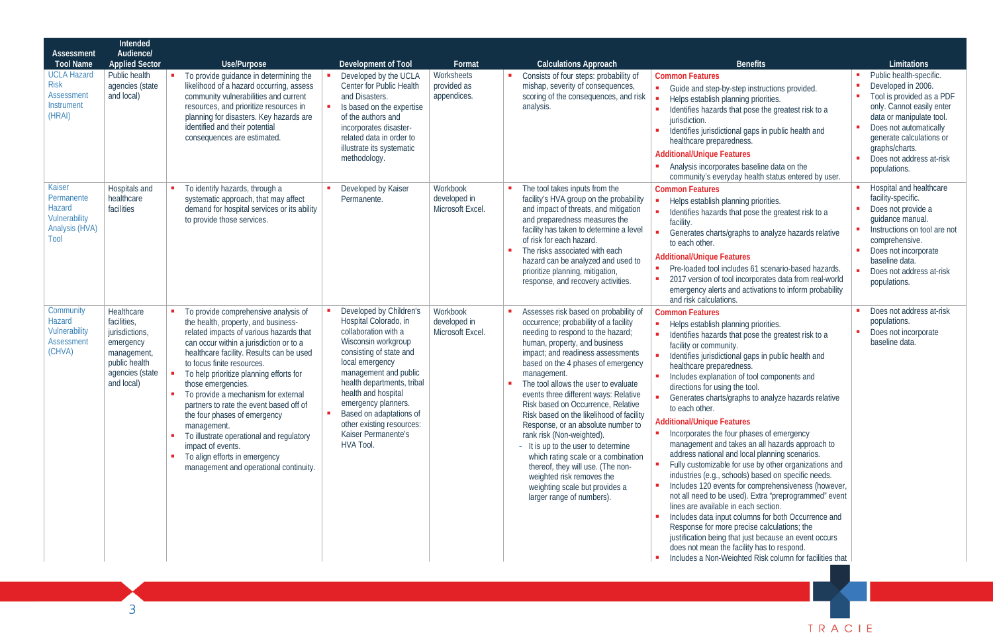| Assessment                                                                | Intended<br>Audience/                                                                                                     |                                                                                                                                                                                                                                                                                                                                                                                                                                                                                                                                                                                           |                                                                                                                                                                                                                                                                                                                                                |                                             |                                                                                                                                                                                                                                                                                                                                                                                                                                                                                                                                                                                                                                                                                                     |                                                                                                                                                                                                                                                                                                                                                                                                                                                                                                                                                                                                                                                                                                                                                                                                                                                                                                                                                                                                                                                                                                                                                       |                                                                                                                                                                                                                                                         |
|---------------------------------------------------------------------------|---------------------------------------------------------------------------------------------------------------------------|-------------------------------------------------------------------------------------------------------------------------------------------------------------------------------------------------------------------------------------------------------------------------------------------------------------------------------------------------------------------------------------------------------------------------------------------------------------------------------------------------------------------------------------------------------------------------------------------|------------------------------------------------------------------------------------------------------------------------------------------------------------------------------------------------------------------------------------------------------------------------------------------------------------------------------------------------|---------------------------------------------|-----------------------------------------------------------------------------------------------------------------------------------------------------------------------------------------------------------------------------------------------------------------------------------------------------------------------------------------------------------------------------------------------------------------------------------------------------------------------------------------------------------------------------------------------------------------------------------------------------------------------------------------------------------------------------------------------------|-------------------------------------------------------------------------------------------------------------------------------------------------------------------------------------------------------------------------------------------------------------------------------------------------------------------------------------------------------------------------------------------------------------------------------------------------------------------------------------------------------------------------------------------------------------------------------------------------------------------------------------------------------------------------------------------------------------------------------------------------------------------------------------------------------------------------------------------------------------------------------------------------------------------------------------------------------------------------------------------------------------------------------------------------------------------------------------------------------------------------------------------------------|---------------------------------------------------------------------------------------------------------------------------------------------------------------------------------------------------------------------------------------------------------|
| <b>Tool Name</b>                                                          | <b>Applied Sector</b>                                                                                                     | Use/Purpose                                                                                                                                                                                                                                                                                                                                                                                                                                                                                                                                                                               | Development of Tool                                                                                                                                                                                                                                                                                                                            | Format                                      | <b>Calculations Approach</b>                                                                                                                                                                                                                                                                                                                                                                                                                                                                                                                                                                                                                                                                        | <b>Benefits</b>                                                                                                                                                                                                                                                                                                                                                                                                                                                                                                                                                                                                                                                                                                                                                                                                                                                                                                                                                                                                                                                                                                                                       | Limitations                                                                                                                                                                                                                                             |
| <b>UCLA Hazard</b><br><b>Risk</b><br>Assessment<br>Instrument<br>(HRAI)   | Public health<br>agencies (state<br>and local)                                                                            | To provide quidance in determining the<br>likelihood of a hazard occurring, assess<br>community vulnerabilities and current<br>resources, and prioritize resources in<br>planning for disasters. Key hazards are<br>identified and their potential<br>consequences are estimated.                                                                                                                                                                                                                                                                                                         | Developed by the UCLA<br>Center for Public Health<br>and Disasters.<br>Is based on the expertise<br>of the authors and<br>incorporates disaster-<br>related data in order to<br>illustrate its systematic<br>methodology.                                                                                                                      | Worksheets<br>provided as<br>appendices.    | Consists of four steps: probability of<br>mishap, severity of consequences,<br>scoring of the consequences, and risk<br>analysis.                                                                                                                                                                                                                                                                                                                                                                                                                                                                                                                                                                   | <b>Common Features</b><br>• Guide and step-by-step instructions provided.<br>Helps establish planning priorities.<br>Identifies hazards that pose the greatest risk to a<br>jurisdiction.<br>Identifies jurisdictional gaps in public health and<br>healthcare preparedness.<br><b>Additional/Unique Features</b><br>Analysis incorporates baseline data on the<br>community's everyday health status entered by user.                                                                                                                                                                                                                                                                                                                                                                                                                                                                                                                                                                                                                                                                                                                                | Public health-specific.<br>Developed in 2006.<br>Tool is provided as a PDF<br>only. Cannot easily enter<br>data or manipulate tool.<br>Does not automatically<br>generate calculations or<br>graphs/charts.<br>Does not address at-risk<br>populations. |
| Kaiser<br>Permanente<br>Hazard<br>Vulnerability<br>Analysis (HVA)<br>Tool | Hospitals and<br>healthcare<br>facilities                                                                                 | To identify hazards, through a<br>systematic approach, that may affect<br>demand for hospital services or its ability<br>to provide those services.                                                                                                                                                                                                                                                                                                                                                                                                                                       | Developed by Kaiser<br>Permanente.                                                                                                                                                                                                                                                                                                             | Workbook<br>developed in<br>Microsoft Excel | The tool takes inputs from the<br>facility's HVA group on the probability<br>and impact of threats, and mitigation<br>and preparedness measures the<br>facility has taken to determine a level<br>of risk for each hazard.<br>The risks associated with each<br>hazard can be analyzed and used to<br>prioritize planning, mitigation,<br>response, and recovery activities.                                                                                                                                                                                                                                                                                                                        | <b>Common Features</b><br>Helps establish planning priorities.<br>Identifies hazards that pose the greatest risk to a<br>facility<br>Generates charts/graphs to analyze hazards relative<br>to each other.<br><b>Additional/Unique Features</b><br>• Pre-loaded tool includes 61 scenario-based hazards.<br>2017 version of tool incorporates data from real-world<br>emergency alerts and activations to inform probability<br>and risk calculations.                                                                                                                                                                                                                                                                                                                                                                                                                                                                                                                                                                                                                                                                                                | Hospital and healthcare<br>facility-specific.<br>Does not provide a<br>quidance manual.<br>Instructions on tool are not<br>comprehensive.<br>Does not incorporate<br>baseline data.<br>Does not address at-risk<br>populations.                         |
| Community<br>Hazard<br>Vulnerability<br>Assessment<br>(CHVA)              | Healthcare<br>facilities,<br>jurisdictions,<br>emergency<br>management,<br>public health<br>agencies (state<br>and local) | To provide comprehensive analysis of<br>the health, property, and business-<br>related impacts of various hazards that<br>can occur within a jurisdiction or to a<br>healthcare facility. Results can be used<br>to focus finite resources.<br>To help prioritize planning efforts for<br>those emergencies.<br>To provide a mechanism for external<br>partners to rate the event based off of<br>the four phases of emergency<br>management.<br>To illustrate operational and regulatory<br>impact of events.<br>To align efforts in emergency<br>management and operational continuity. | Developed by Children's<br>Hospital Colorado, in<br>collaboration with a<br>Wisconsin workgroup<br>consisting of state and<br>local emergency<br>management and public<br>health departments, tribal<br>health and hospital<br>emergency planners.<br>Based on adaptations of<br>other existing resources:<br>Kaiser Permanente's<br>HVA Tool. | Workbook<br>developed in<br>Microsoft Excel | Assesses risk based on probability of<br>occurrence; probability of a facility<br>needing to respond to the hazard;<br>human, property, and business<br>impact; and readiness assessments<br>based on the 4 phases of emergency<br>management.<br>The tool allows the user to evaluate<br>events three different ways: Relative<br>Risk based on Occurrence, Relative<br>Risk based on the likelihood of facility<br>Response, or an absolute number to<br>rank risk (Non-weighted).<br>- It is up to the user to determine<br>which rating scale or a combination<br>thereof, they will use. (The non-<br>weighted risk removes the<br>weighting scale but provides a<br>larger range of numbers). | <b>Common Features</b><br>Helps establish planning priorities.<br>$\mathbf{r}$<br>Identifies hazards that pose the greatest risk to a<br>facility or community.<br>Identifies jurisdictional gaps in public health and<br>healthcare preparedness.<br>Includes explanation of tool components and<br>directions for using the tool.<br>Generates charts/graphs to analyze hazards relative<br>to each other.<br><b>Additional/Unique Features</b><br>• Incorporates the four phases of emergency<br>management and takes an all hazards approach to<br>address national and local planning scenarios.<br>Fully customizable for use by other organizations and<br>industries (e.g., schools) based on specific needs.<br>Includes 120 events for comprehensiveness (however,<br>not all need to be used). Extra "preprogrammed" event<br>lines are available in each section.<br>Includes data input columns for both Occurrence and<br>Response for more precise calculations; the<br>justification being that just because an event occurs<br>does not mean the facility has to respond.<br>Includes a Non-Weighted Risk column for facilities that | Does not address at-risk<br>populations.<br>Does not incorporate<br>baseline data.                                                                                                                                                                      |

TRACIE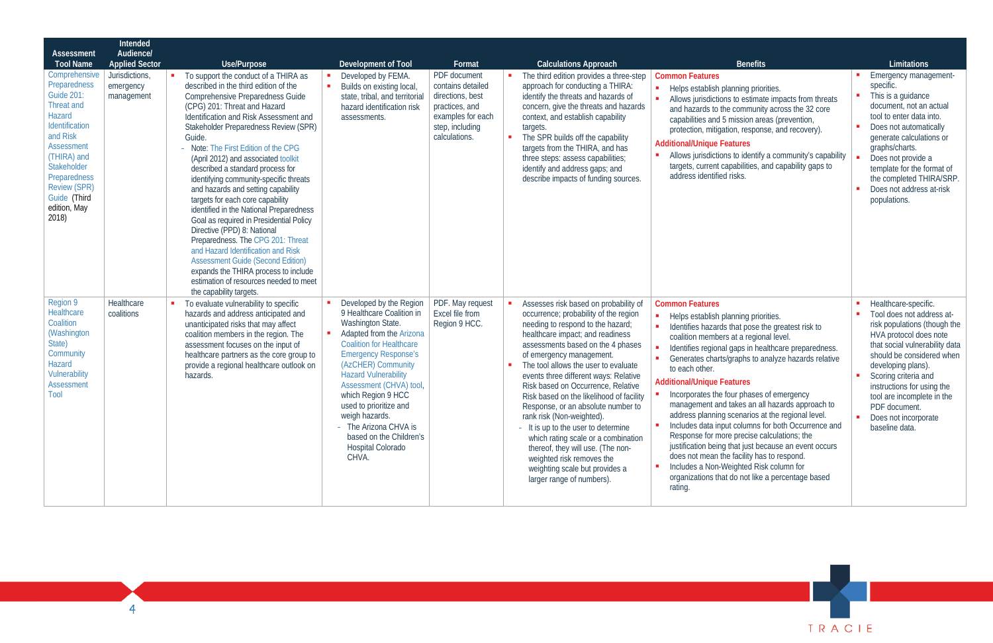

| Assessment<br><b>Tool Name</b><br>Comprehensive<br>Preparedness<br>Guide 201<br><b>Threat and</b><br>Hazard<br>Identification<br>and Risk<br>Assessment<br>(THIRA) and<br>Stakeholder<br>Preparedness<br><b>Review (SPR)</b><br>Guide (Third<br>edition, May<br>2018) | Intended<br>Audience/<br><b>Applied Sector</b><br>Jurisdictions,<br>emergency<br>management | Use/Purpose<br>To support the conduct of a THIRA as<br>described in the third edition of the<br>Comprehensive Preparedness Guide<br>(CPG) 201: Threat and Hazard<br>Identification and Risk Assessment and<br>Stakeholder Preparedness Review (SPR)<br>Guide.<br>- Note: The First Edition of the CPG<br>(April 2012) and associated toolkit<br>described a standard process for<br>identifying community-specific threats<br>and hazards and setting capability<br>targets for each core capability<br>identified in the National Preparedness<br>Goal as required in Presidential Policy<br>Directive (PPD) 8: National<br>Preparedness. The CPG 201: Threat<br>and Hazard Identification and Risk<br><b>Assessment Guide (Second Edition)</b><br>expands the THIRA process to include<br>estimation of resources needed to meet | $\blacksquare$ | Development of Tool<br>Developed by FEMA.<br>Builds on existing local,<br>state, tribal, and territorial<br>hazard identification risk<br>assessments.                                                                                                                                                                                                                                                             | Format<br>PDF document<br>contains detailed<br>directions, best<br>practices, and<br>examples for each<br>step, including<br>calculations. | <b>Calculations Approach</b><br>The third edition provides a three-step<br>approach for conducting a THIRA:<br>identify the threats and hazards of<br>concern, give the threats and hazards<br>context, and establish capability<br>targets.<br>The SPR builds off the capability<br>targets from the THIRA, and has<br>three steps: assess capabilities;<br>identify and address gaps; and<br>describe impacts of funding sources.                                                                                                                                                                                                                                           | <b>Benefits</b><br><b>Common Features</b><br>Helps establish planning priorities.<br>Allows jurisdictions to estimate impacts from threats<br>and hazards to the community across the 32 core<br>capabilities and 5 mission areas (prevention)<br>protection, mitigation, response, and recovery).<br><b>Additional/Unique Features</b><br>Allows jurisdictions to identify a community's capability<br>targets, current capabilities, and capability gaps to<br>address identified risks.                                                                                                                                                                                                                                                                                                                       | Limitations<br><b>Emergency management-</b><br>specific.<br>This is a guidance<br>document, not an actual<br>tool to enter data into.<br>Does not automatically<br>generate calculations or<br>graphs/charts.<br>Does not provide a<br>template for the format of<br>the completed THIRA/SRP.<br>Does not address at-risk<br>populations.       |
|-----------------------------------------------------------------------------------------------------------------------------------------------------------------------------------------------------------------------------------------------------------------------|---------------------------------------------------------------------------------------------|------------------------------------------------------------------------------------------------------------------------------------------------------------------------------------------------------------------------------------------------------------------------------------------------------------------------------------------------------------------------------------------------------------------------------------------------------------------------------------------------------------------------------------------------------------------------------------------------------------------------------------------------------------------------------------------------------------------------------------------------------------------------------------------------------------------------------------|----------------|--------------------------------------------------------------------------------------------------------------------------------------------------------------------------------------------------------------------------------------------------------------------------------------------------------------------------------------------------------------------------------------------------------------------|--------------------------------------------------------------------------------------------------------------------------------------------|-------------------------------------------------------------------------------------------------------------------------------------------------------------------------------------------------------------------------------------------------------------------------------------------------------------------------------------------------------------------------------------------------------------------------------------------------------------------------------------------------------------------------------------------------------------------------------------------------------------------------------------------------------------------------------|------------------------------------------------------------------------------------------------------------------------------------------------------------------------------------------------------------------------------------------------------------------------------------------------------------------------------------------------------------------------------------------------------------------------------------------------------------------------------------------------------------------------------------------------------------------------------------------------------------------------------------------------------------------------------------------------------------------------------------------------------------------------------------------------------------------|-------------------------------------------------------------------------------------------------------------------------------------------------------------------------------------------------------------------------------------------------------------------------------------------------------------------------------------------------|
| Region 9<br>Healthcare<br>Coalition<br>(Washington<br>State)<br>Community<br>Hazard<br>Vulnerability<br>Assessment<br>Tool                                                                                                                                            | Healthcare<br>coalitions                                                                    | the capability targets.<br>To evaluate vulnerability to specific<br>hazards and address anticipated and<br>unanticipated risks that may affect<br>coalition members in the region. The<br>assessment focuses on the input of<br>healthcare partners as the core group to<br>provide a regional healthcare outlook on<br>hazards.                                                                                                                                                                                                                                                                                                                                                                                                                                                                                                   |                | Developed by the Region<br>9 Healthcare Coalition in<br>Washington State.<br>Adapted from the Arizona<br><b>Coalition for Healthcare</b><br><b>Emergency Response's</b><br>(AzCHER) Community<br><b>Hazard Vulnerability</b><br>Assessment (CHVA) tool,<br>which Region 9 HCC<br>used to prioritize and<br>weigh hazards.<br>- The Arizona CHVA is<br>based on the Children's<br><b>Hospital Colorado</b><br>CHVA. | PDF. May request<br>Excel file from<br>Region 9 HCC.                                                                                       | Assesses risk based on probability of<br>occurrence; probability of the region<br>needing to respond to the hazard;<br>healthcare impact; and readiness<br>assessments based on the 4 phases<br>of emergency management.<br>The tool allows the user to evaluate<br>events three different ways: Relative<br>Risk based on Occurrence, Relative<br>Risk based on the likelihood of facility<br>Response, or an absolute number to<br>rank risk (Non-weighted).<br>- It is up to the user to determine<br>which rating scale or a combination<br>thereof, they will use. (The non-<br>weighted risk removes the<br>weighting scale but provides a<br>larger range of numbers). | <b>Common Features</b><br>Helps establish planning priorities.<br>Identifies hazards that pose the greatest risk to<br>coalition members at a regional level.<br>Identifies regional gaps in healthcare preparedness.<br>Generates charts/graphs to analyze hazards relative<br>to each other.<br><b>Additional/Unique Features</b><br>Incorporates the four phases of emergency<br>management and takes an all hazards approach to<br>address planning scenarios at the regional level.<br>Includes data input columns for both Occurrence and<br>Response for more precise calculations; the<br>justification being that just because an event occurs<br>does not mean the facility has to respond.<br>Includes a Non-Weighted Risk column for<br>organizations that do not like a percentage based<br>rating. | Healthcare-specific.<br>Tool does not address at-<br>risk populations (though the<br>HVA protocol does note<br>that social vulnerability data<br>should be considered when<br>developing plans).<br>Scoring criteria and<br>instructions for using the<br>tool are incomplete in the<br>PDF document.<br>Does not incorporate<br>baseline data. |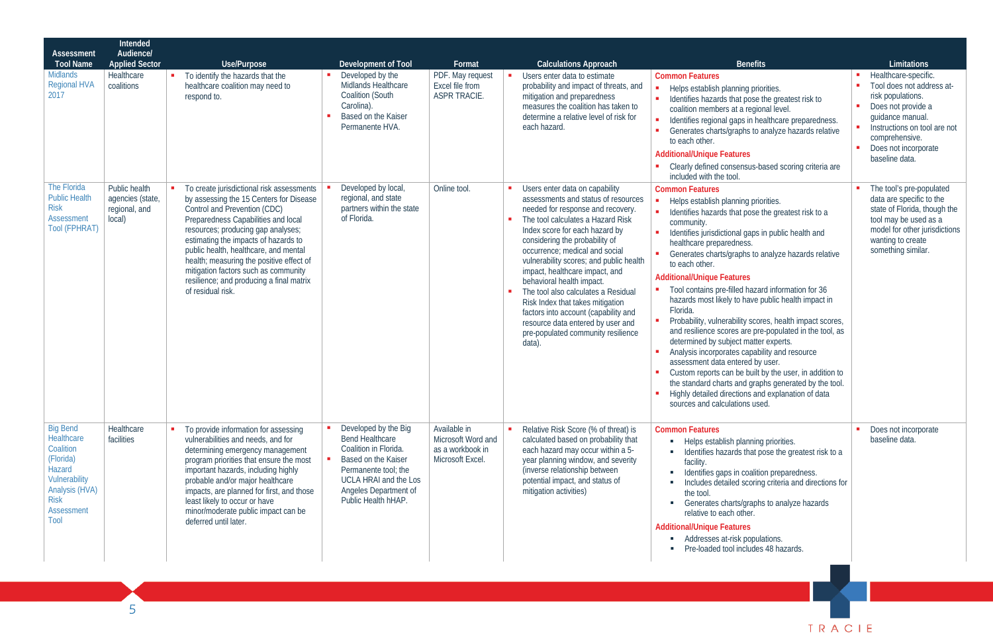| <b>Assessment</b><br><b>Tool Name</b>                                                                                                            | Intended<br>Audience/<br><b>Applied Sector</b>               | Use/Purpose                                                                                                                                                                                                                                                                                                                                                                                                                             | Development of Tool                                                                                                                                                                                    | Format                                                                     | <b>Calculations Approach</b>                                                                                                                                                                                                                                                                                                                                                                                                                                                                                                                                           | <b>Benefits</b>                                                                                                                                                                                                                                                                                                                                                                                                                                                                                                                                                                                                                                                                                                                                                                                                                                                                                                                | Limitations                                                                                                                                                                                                  |
|--------------------------------------------------------------------------------------------------------------------------------------------------|--------------------------------------------------------------|-----------------------------------------------------------------------------------------------------------------------------------------------------------------------------------------------------------------------------------------------------------------------------------------------------------------------------------------------------------------------------------------------------------------------------------------|--------------------------------------------------------------------------------------------------------------------------------------------------------------------------------------------------------|----------------------------------------------------------------------------|------------------------------------------------------------------------------------------------------------------------------------------------------------------------------------------------------------------------------------------------------------------------------------------------------------------------------------------------------------------------------------------------------------------------------------------------------------------------------------------------------------------------------------------------------------------------|--------------------------------------------------------------------------------------------------------------------------------------------------------------------------------------------------------------------------------------------------------------------------------------------------------------------------------------------------------------------------------------------------------------------------------------------------------------------------------------------------------------------------------------------------------------------------------------------------------------------------------------------------------------------------------------------------------------------------------------------------------------------------------------------------------------------------------------------------------------------------------------------------------------------------------|--------------------------------------------------------------------------------------------------------------------------------------------------------------------------------------------------------------|
| <b>Midlands</b><br><b>Regional HVA</b><br>2017                                                                                                   | Healthcare<br>coalitions                                     | To identify the hazards that the<br>healthcare coalition may need to<br>respond to.                                                                                                                                                                                                                                                                                                                                                     | Developed by the<br>Midlands Healthcare<br><b>Coalition (South</b><br>Carolina).<br>Based on the Kaiser<br>Permanente HVA.                                                                             | PDF. May request<br>Excel file from<br><b>ASPR TRACIE.</b>                 | Users enter data to estimate<br>probability and impact of threats, and<br>mitigation and preparedness<br>measures the coalition has taken to<br>determine a relative level of risk for<br>each hazard.                                                                                                                                                                                                                                                                                                                                                                 | <b>Common Features</b><br>Helps establish planning priorities.<br>Identifies hazards that pose the greatest risk to<br>coalition members at a regional level.<br>Identifies regional gaps in healthcare preparedness.<br>Generates charts/graphs to analyze hazards relative<br>to each other.<br><b>Additional/Unique Features</b><br>Clearly defined consensus-based scoring criteria are<br>included with the tool.                                                                                                                                                                                                                                                                                                                                                                                                                                                                                                         | Healthcare-specific.<br>Tool does not address at-<br>risk populations.<br>Does not provide a<br>quidance manual.<br>Instructions on tool are not<br>comprehensive.<br>Does not incorporate<br>baseline data. |
| The Florida<br><b>Public Health</b><br><b>Risk</b><br><b>Assessment</b><br><b>Tool (FPHRAT)</b>                                                  | Public health<br>agencies (state,<br>regional, and<br>local) | To create jurisdictional risk assessments<br>by assessing the 15 Centers for Disease<br>Control and Prevention (CDC)<br>Preparedness Capabilities and local<br>resources; producing gap analyses;<br>estimating the impacts of hazards to<br>public health, healthcare, and mental<br>health; measuring the positive effect of<br>mitigation factors such as community<br>resilience; and producing a final matrix<br>of residual risk. | Developed by local,<br>regional, and state<br>partners within the state<br>of Florida.                                                                                                                 | Online tool.                                                               | Users enter data on capability<br>assessments and status of resources<br>needed for response and recovery.<br>The tool calculates a Hazard Risk<br>Index score for each hazard by<br>considering the probability of<br>occurrence: medical and social<br>vulnerability scores; and public health<br>impact, healthcare impact, and<br>behavioral health impact.<br>The tool also calculates a Residual<br>Risk Index that takes mitigation<br>factors into account (capability and<br>resource data entered by user and<br>pre-populated community resilience<br>data) | <b>Common Features</b><br>Helps establish planning priorities.<br>Identifies hazards that pose the greatest risk to a<br>community.<br>Identifies jurisdictional gaps in public health and<br>healthcare preparedness.<br>Generates charts/graphs to analyze hazards relative<br>to each other.<br><b>Additional/Unique Features</b><br>Tool contains pre-filled hazard information for 36<br>hazards most likely to have public health impact in<br>Florida.<br>Probability, vulnerability scores, health impact scores,<br>and resilience scores are pre-populated in the tool, as<br>determined by subject matter experts.<br>Analysis incorporates capability and resource<br>assessment data entered by user.<br>Custom reports can be built by the user, in addition to<br>the standard charts and graphs generated by the tool.<br>Highly detailed directions and explanation of data<br>sources and calculations used. | The tool's pre-populated<br>data are specific to the<br>state of Florida, though the<br>tool may be used as a<br>model for other jurisdictions<br>wanting to create<br>something similar.                    |
| <b>Big Bend</b><br>Healthcare<br>Coalition<br>(Florida)<br>Hazard<br>Vulnerability<br>Analysis (HVA)<br><b>Risk</b><br><b>Assessment</b><br>Tool | Healthcare<br>facilities                                     | To provide information for assessing<br>vulnerabilities and needs, and for<br>determining emergency management<br>program priorities that ensure the most<br>important hazards, including highly<br>probable and/or major healthcare<br>impacts, are planned for first, and those<br>least likely to occur or have<br>minor/moderate public impact can be<br>deferred until later.                                                      | Developed by the Big<br><b>Bend Healthcare</b><br>Coalition in Florida.<br>Based on the Kaiser<br>Permanente tool; the<br><b>UCLA HRAI and the Los</b><br>Angeles Department of<br>Public Health hHAP. | Available in<br>Microsoft Word and<br>as a workbook in<br>Microsoft Excel. | Relative Risk Score (% of threat) is<br>calculated based on probability that<br>each hazard may occur within a 5-<br>year planning window, and severity<br>(inverse relationship between<br>potential impact, and status of<br>mitigation activities)                                                                                                                                                                                                                                                                                                                  | <b>Common Features</b><br>• Helps establish planning priorities.<br>• Identifies hazards that pose the greatest risk to a<br>facility.<br>Identifies gaps in coalition preparedness.<br>Includes detailed scoring criteria and directions for<br>the tool<br>Generates charts/graphs to analyze hazards<br>relative to each other.<br><b>Additional/Unique Features</b><br>Addresses at-risk populations.<br>• Pre-loaded tool includes 48 hazards.                                                                                                                                                                                                                                                                                                                                                                                                                                                                            | Does not incorporate<br>baseline data.                                                                                                                                                                       |
|                                                                                                                                                  |                                                              |                                                                                                                                                                                                                                                                                                                                                                                                                                         |                                                                                                                                                                                                        |                                                                            |                                                                                                                                                                                                                                                                                                                                                                                                                                                                                                                                                                        |                                                                                                                                                                                                                                                                                                                                                                                                                                                                                                                                                                                                                                                                                                                                                                                                                                                                                                                                |                                                                                                                                                                                                              |

TRACIE